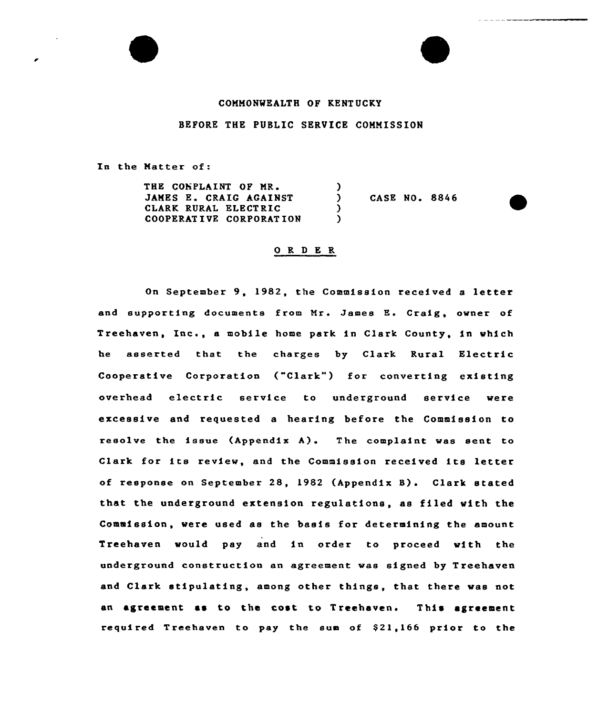## COMMONWEALTH OF KENTUCKY

## BEFORE THE PUBLIC SERVICE COMMISSION

In the Matter of:

THE CONPLAINT OF MR. JAMES E. CRAIG AGAINST CLARK RURAL ELECTRIC COOPERAT IVE CORPORAT ION

CASE NO. 8846

## O R D E R

 $\left\{ \right\}$ 

 $\lambda$ )

On September 9, 1982, the Commission received <sup>a</sup> letter and supporting documents from Mr. James E. Craig, owner of Treehaven, Inc., <sup>a</sup> mobile home park in Clark County, in which he asserted that the charges by Clark Rural Electric Cooperative Corporation {"Clark") for converting existing overhead electric service to underground service were excessive and requested a hearing before the Commission to resolve the issue  $(\text{Appendix A})$ . The complaint was sent to Clark for its review, and the Commission received its letter of response on September 28, 1982 (Appendix B). Clark stated that the underground extension regulations, as filed with the Commission, were used as the basis for determining the amount Treehaven would pay and in order to proceed with the underground construction an agreement was signed by Treehaven and Clark stipulating, among other things, that there was not an agreement as to the cost to Treehaven. This agreement required Treehaven to pay the sum of \$21,166 prior to the